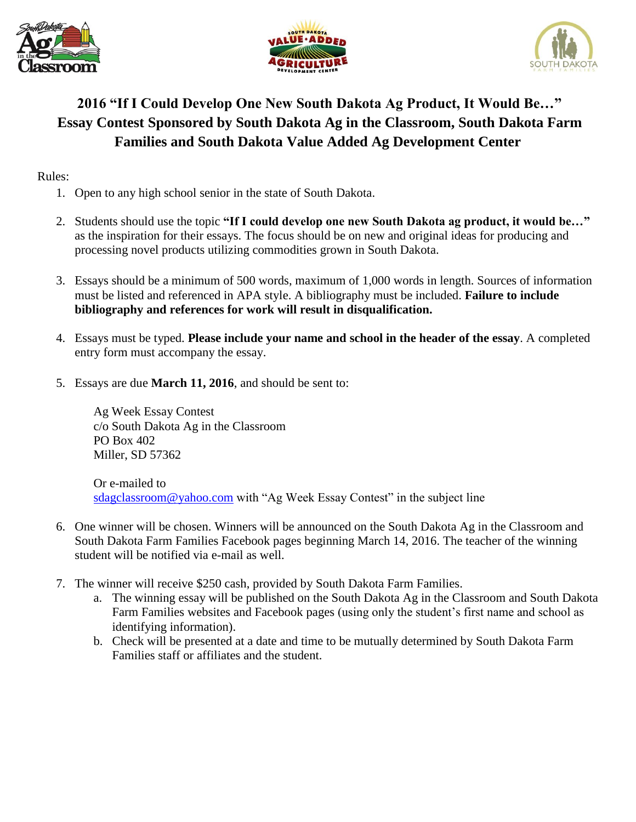





## **2016 "If I Could Develop One New South Dakota Ag Product, It Would Be…" Essay Contest Sponsored by South Dakota Ag in the Classroom, South Dakota Farm Families and South Dakota Value Added Ag Development Center**

Rules:

- 1. Open to any high school senior in the state of South Dakota.
- 2. Students should use the topic **"If I could develop one new South Dakota ag product, it would be…"** as the inspiration for their essays. The focus should be on new and original ideas for producing and processing novel products utilizing commodities grown in South Dakota.
- 3. Essays should be a minimum of 500 words, maximum of 1,000 words in length. Sources of information must be listed and referenced in APA style. A bibliography must be included. **Failure to include bibliography and references for work will result in disqualification.**
- 4. Essays must be typed. **Please include your name and school in the header of the essay**. A completed entry form must accompany the essay.
- 5. Essays are due **March 11, 2016**, and should be sent to:

Ag Week Essay Contest c/o South Dakota Ag in the Classroom PO Box 402 Miller, SD 57362

Or e-mailed to [sdagclassroom@yahoo.com](mailto:sdagclassroom@yahoo.com) with "Ag Week Essay Contest" in the subject line

- 6. One winner will be chosen. Winners will be announced on the South Dakota Ag in the Classroom and South Dakota Farm Families Facebook pages beginning March 14, 2016. The teacher of the winning student will be notified via e-mail as well.
- 7. The winner will receive \$250 cash, provided by South Dakota Farm Families.
	- a. The winning essay will be published on the South Dakota Ag in the Classroom and South Dakota Farm Families websites and Facebook pages (using only the student's first name and school as identifying information).
	- b. Check will be presented at a date and time to be mutually determined by South Dakota Farm Families staff or affiliates and the student.